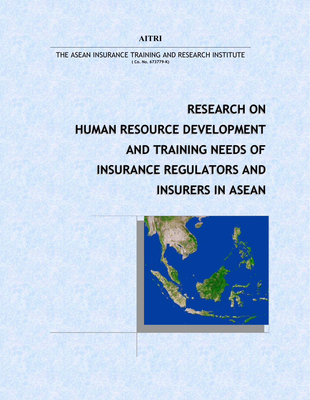# AITRI

THE ASEAN INSURANCE TRAINING AND RESEARCH INSTITUTE ( Co. No. 673779-K)

# RESEARCH ON RESEARCH ON HUMAN RESOURCE DEVELOPMENT HUMAN RESOURCE DEVELOPMENT AND TRAINING NEEDS OF AND TRAINING NEEDS OF INSURANCE REGULATORS AND INSURANCE REGULATORS AND INSURERS IN ASEAN INSURERS IN ASEAN

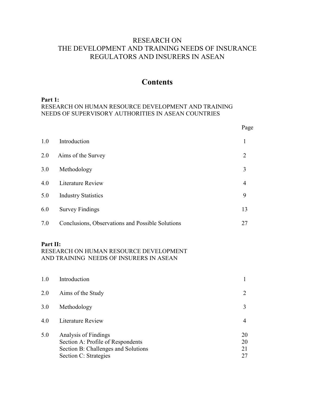# RESEARCH ON THE DEVELOPMENT AND TRAINING NEEDS OF INSURANCE REGULATORS AND INSURERS IN ASEAN

# **Contents**

Part 1:

# RESEARCH ON HUMAN RESOURCE DEVELOPMENT AND TRAINING NEEDS OF SUPERVISORY AUTHORITIES IN ASEAN COUNTRIES

|     |                                                  | Page           |
|-----|--------------------------------------------------|----------------|
| 1.0 | Introduction                                     | 1              |
| 2.0 | Aims of the Survey                               | 2              |
| 3.0 | Methodology                                      | 3              |
| 4.0 | <b>Literature Review</b>                         | $\overline{4}$ |
| 5.0 | <b>Industry Statistics</b>                       | 9              |
| 6.0 | <b>Survey Findings</b>                           | 13             |
| 7.0 | Conclusions, Observations and Possible Solutions | 27             |

## Part II:

# RESEARCH ON HUMAN RESOURCE DEVELOPMENT AND TRAINING NEEDS OF INSURERS IN ASEAN

| 1.0 | Introduction                                                                                                              |                |
|-----|---------------------------------------------------------------------------------------------------------------------------|----------------|
| 2.0 | Aims of the Study                                                                                                         |                |
| 3.0 | Methodology                                                                                                               |                |
| 4.0 | Literature Review                                                                                                         |                |
| 5.0 | Analysis of Findings<br>Section A: Profile of Respondents<br>Section B: Challenges and Solutions<br>Section C: Strategies | 20<br>20<br>21 |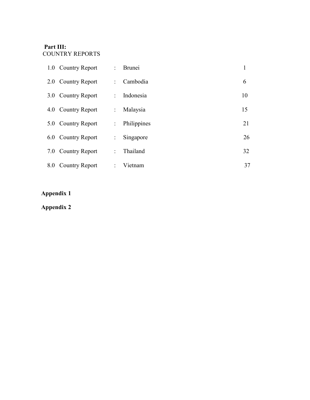# Part III: COUNTRY REPORTS

| 1.0 Country Report | ÷.                        | <b>Brunei</b> |    |
|--------------------|---------------------------|---------------|----|
| 2.0 Country Report | ÷.                        | Cambodia      | 6  |
| 3.0 Country Report | ÷.                        | Indonesia     | 10 |
| 4.0 Country Report | $\mathbb{Z}^{\mathbb{Z}}$ | Malaysia      | 15 |
| 5.0 Country Report | ÷.                        | Philippines   | 21 |
| 6.0 Country Report | ÷.                        | Singapore     | 26 |
| 7.0 Country Report | ÷                         | Thailand      | 32 |
| 8.0 Country Report |                           | Vietnam       | 37 |

# Appendix 1

# Appendix 2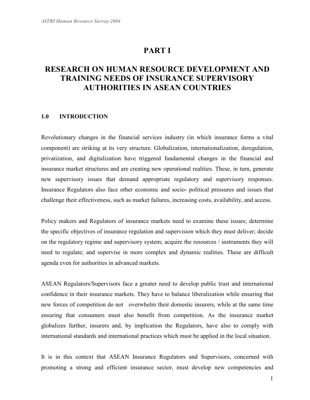# PART I

# RESEARCH ON HUMAN RESOURCE DEVELOPMENT AND TRAINING NEEDS OF INSURANCE SUPERVISORY AUTHORITIES IN ASEAN COUNTRIES

## 1.0 INTRODUCTION

Revolutionary changes in the financial services industry (in which insurance forms a vital component) are striking at its very structure. Globalization, internationalization, deregulation, privatization, and digitalization have triggered fundamental changes in the financial and insurance market structures and are creating new operational realities. These, in turn, generate new supervisory issues that demand appropriate regulatory and supervisory responses. Insurance Regulators also face other economic and socio- political pressures and issues that challenge their effectiveness, such as market failures, increasing costs, availability, and access.

Policy makers and Regulators of insurance markets need to examine these issues; determine the specific objectives of insurance regulation and supervision which they must deliver; decide on the regulatory regime and supervisory system; acquire the resources / instruments they will need to regulate; and supervise in more complex and dynamic realities. These are difficult agenda even for authorities in advanced markets.

ASEAN Regulators/Supervisors face a greater need to develop public trust and international confidence in their insurance markets. They have to balance liberalization while ensuring that new forces of competition do not overwhelm their domestic insurers, while at the same time ensuring that consumers must also benefit from competition. As the insurance market globalizes further, insurers and, by implication the Regulators, have also to comply with international standards and international practices which must be applied in the local situation.

It is in this context that ASEAN Insurance Regulators and Supervisors, concerned with promoting a strong and efficient insurance sector, must develop new competencies and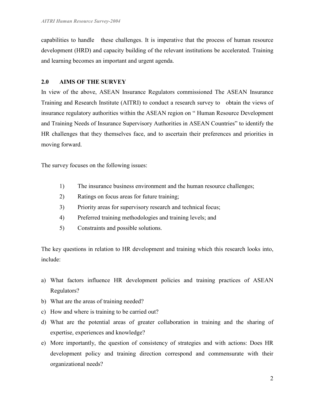capabilities to handle these challenges. It is imperative that the process of human resource development (HRD) and capacity building of the relevant institutions be accelerated. Training and learning becomes an important and urgent agenda.

# 2.0 AIMS OF THE SURVEY

In view of the above, ASEAN Insurance Regulators commissioned The ASEAN Insurance Training and Research Institute (AITRI) to conduct a research survey to obtain the views of insurance regulatory authorities within the ASEAN region on " Human Resource Development and Training Needs of Insurance Supervisory Authorities in ASEAN Countries" to identify the HR challenges that they themselves face, and to ascertain their preferences and priorities in moving forward.

The survey focuses on the following issues:

- 1) The insurance business environment and the human resource challenges;
- 2) Ratings on focus areas for future training;
- 3) Priority areas for supervisory research and technical focus;
- 4) Preferred training methodologies and training levels; and
- 5) Constraints and possible solutions.

The key questions in relation to HR development and training which this research looks into, include:

- a) What factors influence HR development policies and training practices of ASEAN Regulators?
- b) What are the areas of training needed?
- c) How and where is training to be carried out?
- d) What are the potential areas of greater collaboration in training and the sharing of expertise, experiences and knowledge?
- e) More importantly, the question of consistency of strategies and with actions: Does HR development policy and training direction correspond and commensurate with their organizational needs?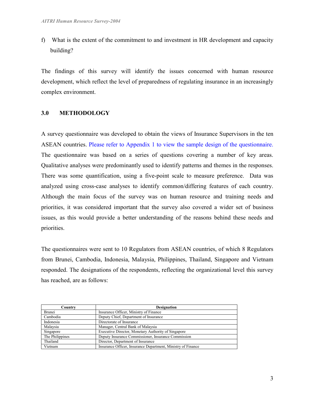f) What is the extent of the commitment to and investment in HR development and capacity building?

The findings of this survey will identify the issues concerned with human resource development, which reflect the level of preparedness of regulating insurance in an increasingly complex environment.

# 3.0 METHODOLOGY

A survey questionnaire was developed to obtain the views of Insurance Supervisors in the ten ASEAN countries. Please refer to Appendix 1 to view the sample design of the questionnaire. The questionnaire was based on a series of questions covering a number of key areas. Qualitative analyses were predominantly used to identify patterns and themes in the responses. There was some quantification, using a five-point scale to measure preference. Data was analyzed using cross-case analyses to identify common/differing features of each country. Although the main focus of the survey was on human resource and training needs and priorities, it was considered important that the survey also covered a wider set of business issues, as this would provide a better understanding of the reasons behind these needs and priorities.

The questionnaires were sent to 10 Regulators from ASEAN countries, of which 8 Regulators from Brunei, Cambodia, Indonesia, Malaysia, Philippines, Thailand, Singapore and Vietnam responded. The designations of the respondents, reflecting the organizational level this survey has reached, are as follows:

| Country         | <b>Designation</b>                                           |
|-----------------|--------------------------------------------------------------|
| Brunei          | Insurance Officer, Ministry of Finance                       |
| Cambodia        | Deputy Chief, Department of Insurance                        |
| Indonesia       | Directorate of Insurance                                     |
| Malaysia        | Manager, Central Bank of Malaysia                            |
| Singapore       | Executive Director, Monetary Authority of Singapore          |
| The Philippines | Deputy Insurance Commissioner, Insurance Commission          |
| Thailand        | Director, Department of Insurance                            |
| Vietnam         | Insurance Officer, Insurance Department, Ministry of Finance |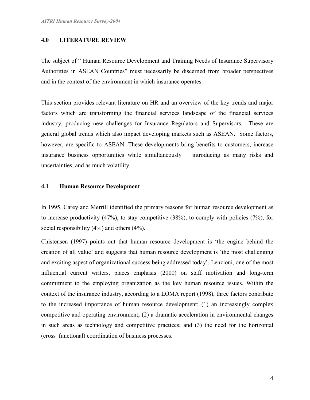## 4.0 LITERATURE REVIEW

The subject of " Human Resource Development and Training Needs of Insurance Supervisory Authorities in ASEAN Countries" must necessarily be discerned from broader perspectives and in the context of the environment in which insurance operates.

This section provides relevant literature on HR and an overview of the key trends and major factors which are transforming the financial services landscape of the financial services industry, producing new challenges for Insurance Regulators and Supervisors. These are general global trends which also impact developing markets such as ASEAN. Some factors, however, are specific to ASEAN. These developments bring benefits to customers, increase insurance business opportunities while simultaneously introducing as many risks and uncertainties, and as much volatility.

## 4.1 Human Resource Development

In 1995, Carey and Merrill identified the primary reasons for human resource development as to increase productivity (47%), to stay competitive (38%), to comply with policies (7%), for social responsibility (4%) and others (4%).

Chistensen (1997) points out that human resource development is 'the engine behind the creation of all value' and suggests that human resource development is 'the most challenging and exciting aspect of organizational success being addressed today'. Lenzioni, one of the most influential current writers, places emphasis (2000) on staff motivation and long-term commitment to the employing organization as the key human resource issues. Within the context of the insurance industry, according to a LOMA report (1998), three factors contribute to the increased importance of human resource development: (1) an increasingly complex competitive and operating environment; (2) a dramatic acceleration in environmental changes in such areas as technology and competitive practices; and (3) the need for the horizontal (cross–functional) coordination of business processes.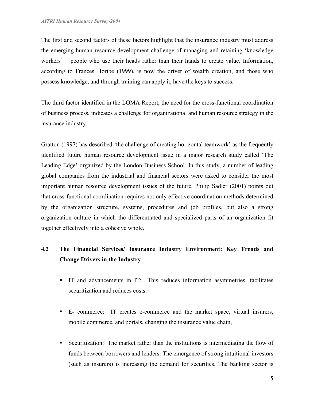The first and second factors of these factors highlight that the insurance industry must address the emerging human resource development challenge of managing and retaining 'knowledge workers' – people who use their heads rather than their hands to create value. Information, according to Frances Horibe (1999), is now the driver of wealth creation, and those who possess knowledge, and through training can apply it, have the keys to success.

The third factor identified in the LOMA Report, the need for the cross-functional coordination of business process, indicates a challenge for organizational and human resource strategy in the insurance industry.

Gratton (1997) has described 'the challenge of creating horizontal teamwork' as the frequently identified future human resource development issue in a major research study called 'The Leading Edge' organized by the London Business School. In this study, a number of leading global companies from the industrial and financial sectors were asked to consider the most important human resource development issues of the future. Philip Sadler (2001) points out that cross-functional coordination requires not only effective coordination methods determined by the organization structure, systems, procedures and job profiles, but also a strong organization culture in which the differentiated and specialized parts of an organization fit together effectively into a cohesive whole.

# 4.2 The Financial Services/ Insurance Industry Environment: Key Trends and Change Drivers in the Industry

- IT and advancements in IT: This reduces information asymmetries, facilitates securitization and reduces costs.
- E- commerce: IT creates e-commerce and the market space, virtual insurers, mobile commerce, and portals, changing the insurance value chain,
- Securitization: The market rather than the institutions is intermediating the flow of funds between borrowers and lenders. The emergence of strong intuitional investors (such as insurers) is increasing the demand for securities. The banking sector is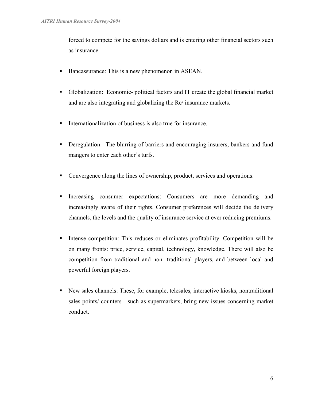forced to compete for the savings dollars and is entering other financial sectors such as insurance.

- Bancassurance: This is a new phenomenon in ASEAN.
- Globalization: Economic- political factors and IT create the global financial market and are also integrating and globalizing the Re/ insurance markets.
- Internationalization of business is also true for insurance.
- **•** Deregulation: The blurring of barriers and encouraging insurers, bankers and fund mangers to enter each other's turfs.
- Convergence along the lines of ownership, product, services and operations.
- Increasing consumer expectations: Consumers are more demanding and increasingly aware of their rights. Consumer preferences will decide the delivery channels, the levels and the quality of insurance service at ever reducing premiums.
- Intense competition: This reduces or eliminates profitability. Competition will be on many fronts: price, service, capital, technology, knowledge. There will also be competition from traditional and non- traditional players, and between local and powerful foreign players.
- New sales channels: These, for example, telesales, interactive kiosks, nontraditional sales points/ counters such as supermarkets, bring new issues concerning market conduct.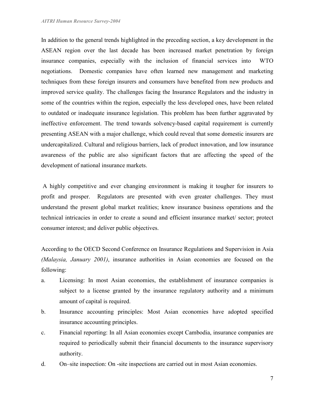In addition to the general trends highlighted in the preceding section, a key development in the ASEAN region over the last decade has been increased market penetration by foreign insurance companies, especially with the inclusion of financial services into WTO negotiations. Domestic companies have often learned new management and marketing techniques from these foreign insurers and consumers have benefited from new products and improved service quality. The challenges facing the Insurance Regulators and the industry in some of the countries within the region, especially the less developed ones, have been related to outdated or inadequate insurance legislation. This problem has been further aggravated by ineffective enforcement. The trend towards solvency-based capital requirement is currently presenting ASEAN with a major challenge, which could reveal that some domestic insurers are undercapitalized. Cultural and religious barriers, lack of product innovation, and low insurance awareness of the public are also significant factors that are affecting the speed of the development of national insurance markets.

 A highly competitive and ever changing environment is making it tougher for insurers to profit and prosper. Regulators are presented with even greater challenges. They must understand the present global market realities; know insurance business operations and the technical intricacies in order to create a sound and efficient insurance market/ sector; protect consumer interest; and deliver public objectives.

According to the OECD Second Conference on Insurance Regulations and Supervision in Asia (Malaysia, January 2001), insurance authorities in Asian economies are focused on the following:

- a. Licensing: In most Asian economies, the establishment of insurance companies is subject to a license granted by the insurance regulatory authority and a minimum amount of capital is required.
- b. Insurance accounting principles: Most Asian economies have adopted specified insurance accounting principles.
- c. Financial reporting: In all Asian economies except Cambodia, insurance companies are required to periodically submit their financial documents to the insurance supervisory authority.
- d. On–site inspection: On -site inspections are carried out in most Asian economies.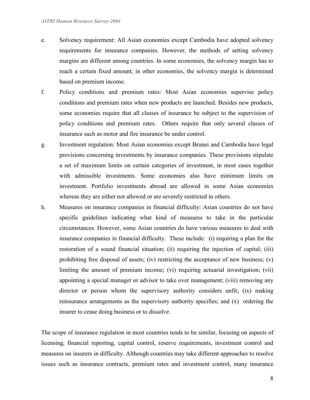- e. Solvency requirement: All Asian economies except Cambodia have adopted solvency requirements for insurance companies. However, the methods of setting solvency margins are different among countries. In some economies, the solvency margin has to reach a certain fixed amount; in other economies, the solvency margin is determined based on premium income.
- f. Policy conditions and premium rates: Most Asian economies supervise policy conditions and premium rates when new products are launched. Besides new products, some economies require that all classes of insurance be subject to the supervision of policy conditions and premium rates. Others require that only several classes of insurance such as motor and fire insurance be under control.
- g. Investment regulation: Most Asian economies except Brunei and Cambodia have legal provisions concerning investments by insurance companies. These provisions stipulate a set of maximum limits on certain categories of investment, in most cases together with admissible investments. Some economies also have minimum limits on investment. Portfolio investments abroad are allowed in some Asian economies whereas they are either not allowed or are severely restricted in others.
- h. Measures on insurance companies in financial difficulty: Asian countries do not have specific guidelines indicating what kind of measures to take in the particular circumstances. However, some Asian countries do have various measures to deal with insurance companies in financial difficulty. These include: (i) requiring a plan for the restoration of a sound financial situation; (ii) requiring the injection of capital; (iii) prohibiting free disposal of assets; (iv) restricting the acceptance of new business; (v) limiting the amount of premium income; (vi) requiring actuarial investigation; (vii) appointing a special manager or advisor to take over management; (viii) removing any director or person whom the supervisory authority considers unfit; (ix) making reinsurance arrangements as the supervisory authority specifies; and (x) ordering the insurer to cease doing business or to dissolve.

The scope of insurance regulation in most countries tends to be similar, focusing on aspects of licensing, financial reporting, capital control, reserve requirements, investment control and measures on insurers in difficulty. Although countries may take different approaches to resolve issues such as insurance contracts, premium rates and investment control, many insurance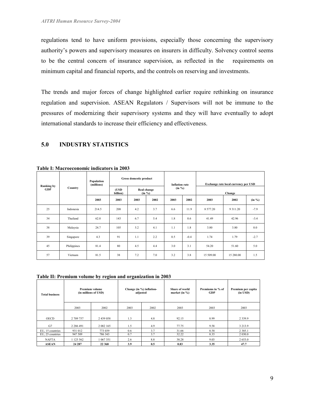regulations tend to have uniform provisions, especially those concerning the supervisory authority's powers and supervisory measures on insurers in difficulty. Solvency control seems to be the central concern of insurance supervision, as reflected in the requirements on minimum capital and financial reports, and the controls on reserving and investments.

The trends and major forces of change highlighted earlier require rethinking on insurance regulation and supervision. ASEAN Regulators / Supervisors will not be immune to the pressures of modernizing their supervisory systems and they will have eventually to adopt international standards to increase their efficiency and effectiveness.

# 5.0 INDUSTRY STATISTICS

|                                 |             | Population<br>(millions) | Gross domestic product |                       |      | <b>Inflation rate</b> |        | Exchange rate local currency per USD |               |           |
|---------------------------------|-------------|--------------------------|------------------------|-----------------------|------|-----------------------|--------|--------------------------------------|---------------|-----------|
| <b>Ranking by</b><br><b>GDP</b> | Country     |                          | $($ USD<br>billion)    | Real change<br>(in %) |      | $(in \%)$             |        | Change                               |               |           |
|                                 |             | 2003                     | 2003                   | 2003                  | 2002 | 2003                  | 2002   | 2003                                 | 2002          | $(in \%)$ |
| 25                              | Indonesia   | 214.5                    | 208                    | 4.2                   | 3.7  | 6.6                   | 11.9   | 8 577.20                             | 9 3 1 1 . 2 0 | $-7.9$    |
| 34                              | Thailand    | 62.0                     | 143                    | 6.7                   | 5.4  | 1.8                   | 0.6    | 41.49                                | 42.96         | $-3.4$    |
| 38                              | Malaysia    | 24.7                     | 105                    | 5.2                   | 4.1  | 1.1                   | 1.8    | 3.80                                 | 3.80          | 0.0       |
| 39                              | Singapore   | 4.3                      | 91                     | 1.1                   | 2.2  | 0.5                   | $-0.4$ | 1.74                                 | 1.79          | $-2.7$    |
| 45                              | Philippines | 81.4                     | 80                     | 4.5                   | 4.4  | 3.0                   | 3.1    | 54.20                                | 51.60         | 5.0       |
| 57                              | Vietnam     | 81.5                     | 38                     | 7.2                   | 7.0  | 3.2                   | 3.8    | 15 509.00                            | 15 280.00     | 1.5       |

Table I: Macroeconomic indicators in 2003

Table II: Premium volume by region and organization in 2003

| <b>Total business</b>                | <b>Premium volume</b><br>(in millions of USD) |                    | Change (in %) inflation-<br>adjusted |            | Share of world<br>market (in $\%$ ) | Premiums in % of<br><b>GDP</b> | Premium per capita<br>$(in$ USD $)$ |
|--------------------------------------|-----------------------------------------------|--------------------|--------------------------------------|------------|-------------------------------------|--------------------------------|-------------------------------------|
|                                      | 2003                                          | 2002               | 2003                                 | 2002       | 2003                                | 2003                           | 2003                                |
| <b>OECD</b>                          | 2 709 757                                     | 2 439 058          | 1.3                                  | 4.8        | 92.15                               | 8.99                           | 2 3 3 9 . 9                         |
| G7                                   | 2 2 8 6 4 9 1                                 | 2 0 8 2 1 6 5      | 1.5                                  | 4.9        | 77.75                               | 9.58                           | 3 2 1 3 .9                          |
| EU. 15 countries<br>EU, 25 countries | 931 012<br>947 509                            | 773 039<br>786 343 | 0.6<br>0.7                           | 3.7<br>3.7 | 31.66<br>32.22                      | 8.58<br>8.35                   | 2 3 8 5 1<br>2 0 3 0 .0             |
| <b>NAFTA</b>                         | 1 125 562                                     | 1 067 351          | 2.6                                  | 8.8        | 38.28                               | 9.03                           | 2 6 5 3 .0                          |
| <b>ASEAN</b>                         | 24 287                                        | 22 368             | 3.9                                  | 0.5        | 0.83                                | 3.35                           | 47.7                                |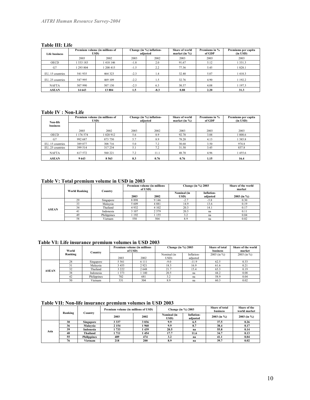#### Table III: Life

| <b>Life business</b> | Premium volume (in millions of<br>USD) |           | Change (in %) inflation-<br>adjusted |        | <b>Share of world</b><br>market (in $\%$ ) | Premiums in %<br>of GDP | Premiums per capita<br>$(in$ $USD)$ |
|----------------------|----------------------------------------|-----------|--------------------------------------|--------|--------------------------------------------|-------------------------|-------------------------------------|
|                      | 2003                                   | 2002      | 2003                                 | 2002   | 2003                                       | 2003                    | 2003                                |
| <b>OECD</b>          | 1 533 183                              | 1418 146  | $-1.8$                               | 2.0    | 91.67                                      | 5.12                    | 1 3 3 1 . 3                         |
| G7                   | 293 804                                | 1 208 415 | $-1.5$                               | 2.2    | 77.36                                      | 5.45                    | 1828.1                              |
| EU. 15 countries     | 541 935                                | 464 323   | $-2.3$                               | 1.4    | 32.40                                      | 5.07                    | 1410.3                              |
| EU. 25 countries     | 547 995                                | 469 109   | $-2.2$                               | 1.5    | 32.76                                      | 4.90                    | 1 192.2                             |
| <b>NAFTA</b>         | 507 990                                | 507 130   | $-2.5$                               | 6.3    | 30.37                                      | 4.08                    | 1 197.3                             |
| <b>ASEAN</b>         | 14 643                                 | 13804     | 1.5                                  | $-8.3$ | 0.88                                       | 2.20                    | 31.3                                |

#### Table IV : Non-Life

| Non-life         | Premium volume (in millions of<br>USD) |           | Change (in %) inflation-<br>adjusted |      | Share of world<br>market (in $\%$ ) | Premiums in %<br>of GDP | Premiums per capita<br>$(in$ $USD)$ |
|------------------|----------------------------------------|-----------|--------------------------------------|------|-------------------------------------|-------------------------|-------------------------------------|
| business         |                                        |           |                                      |      |                                     |                         |                                     |
|                  | 2003                                   | 2002      | 2003                                 | 2002 | 2003                                | 2003                    | 2003                                |
| <b>OECD</b>      | 176 574                                | 1 020 912 | 5.6                                  | 8.9  | 92.78                               | 3.88                    | 1008.6                              |
| G7               | 992 687                                | 873 750   | 5.7                                  | 8.9  | 78.28                               | 4.13                    | 385.8                               |
| EU, 15 countries | 389 077                                | 308 716   | 5.0                                  | 7.2  | 30.68                               | 3.50                    | 974.8                               |
| EU. 25 countries | 399 514                                | 317234    | 5.1                                  | 7.2  | 31.50                               | 3.45                    | 837.8                               |
| <b>NAFTA</b>     | 617 572                                | 560 221   | 7.2                                  | 11.1 | 48.70                               | 4.96                    | 1455.6                              |
| <b>ASEAN</b>     | 9643                                   | 8563      | 8.3                                  | 0.76 | 0.76                                | 1.15                    | 16.4                                |

#### Table V: Total premium volume in USD in 2003

|              | <b>World Ranking</b> | Country     | Premium volume (in millions<br>of USD) |         | Change (in $\%$ ) 2003 | Share of the world<br>market |               |
|--------------|----------------------|-------------|----------------------------------------|---------|------------------------|------------------------------|---------------|
|              |                      |             | 2003                                   | 2002    | Nominal (in<br>USD)    | Inflation-<br>adjusted       | $2003$ (in %) |
|              | 29                   | Singapore   | 8898                                   | 9 1 4 6 | $-2.7$                 | $-5.8$                       | 0.30          |
|              | 33                   | Malaysia    | 5 6 0 9                                | 4 8 8 1 | 14.9                   | 13.6                         | 0.19          |
| <b>ASEAN</b> | 34                   | Thailand    | 4932                                   | 4 1 0 2 | 20.3                   | 14.1                         | 0.17          |
|              | 41                   | Indonesia   | 3 1 0 7                                | 2 5 7 9 | 20.5                   | na                           | 0.11          |
|              | 49                   | Philippines | 192                                    | 155     | 3.2                    | na                           | 0.04          |
|              | 58                   | Vietnam     | 550                                    | 504     | 8.9                    | na                           | 0.02          |

Table VI: Life insurance premium volumes in USD 2003

|              |         |             |         | Premium volume (in millions | Change (in %) 2003 |            | Share of total | Share of the world |
|--------------|---------|-------------|---------|-----------------------------|--------------------|------------|----------------|--------------------|
|              | World   | Country     | of USD) |                             |                    |            | business       | market             |
|              | Ranking |             |         |                             | Nominal (in        | Inflation- | $2003$ (in %)  | $2003$ (in %)      |
|              |         |             | 2003    | 2002                        | USD)               | adjusted   |                |                    |
|              | 28      | Singapore   | 5 5 6 1 | 6 1 1 1                     | $-9.0$             | $-11.9$    | 62.5           | 0.33               |
|              |         | Malaysia    | 3455    | 2921                        | 18.3               | 16.9       | 61.6           | 0.21               |
| <b>ASEAN</b> | 32      | Thailand    | 3 2 2 2 | 2 6 4 8                     | 21.7               | 15.4       | 65.3           | 0.19               |
|              | 38      | Indonesia   | 373     | 140                         | 20.5               | na         | 44.2           | 0.08               |
|              | 42      | Philippines | 702     | 681                         | 3.2                | na         | 58.9           | 0.04               |
|              | 50      | Vietnam     | 331     | 304                         | 8.9                | na         | 60.3           | 0.02               |

#### Table VII: Non-life insurance premium volumes in USD 2003

| Ranking |    | Country            | Premium volume (in millions of USD) |         | Change (in %) 2003  |                        | <b>Share of total</b><br>business | Share of the<br>world market |
|---------|----|--------------------|-------------------------------------|---------|---------------------|------------------------|-----------------------------------|------------------------------|
|         |    |                    | 2003                                | 2002    | Nominal (in<br>USD) | Inflation-<br>adiusted | $2003$ (in %)                     | 2003 (in $\%$ )              |
|         | 30 | <b>Singapore</b>   | 3 3 3 7                             | 3 0 3 6 | 9.9                 | 6.5                    | 37.5                              | 0.26                         |
|         | 36 | Malavsia           | 2 1 5 4                             | l 960   | 9.9                 | 8.7                    | 38.4                              | 0.17                         |
| Asia    | 39 | Indonesia          | 1733                                | 1439    | 20.5                | na                     | 55.8                              | 0.14                         |
|         | 40 | Thailand           | 1 711                               | l 454   | 17.7                | 11.6                   | 34.7                              | 0.13                         |
|         | 55 | <b>Philippines</b> | 489                                 | 474     | 3.2                 | na                     | 41.1                              | 0.04                         |
|         | 76 | Vietnam            | 218                                 | 200     | 8.9                 | na                     | 39.7                              | 0.02                         |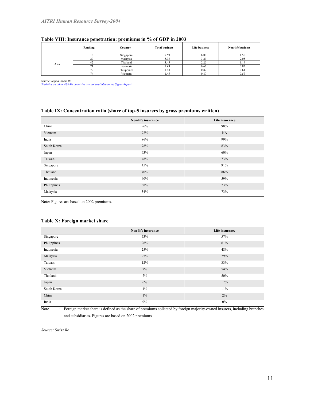|      | Ranking | Country     | <b>Total business</b> | <b>Life business</b> | <b>Non-life business</b> |
|------|---------|-------------|-----------------------|----------------------|--------------------------|
|      |         | Singapore   | 7.59                  | 6.09                 | 1.50                     |
|      | 29      | Malaysia    | 5.35                  | 3.29                 | 2.05                     |
| Asia |         | Thailand    | 3.45                  | 2.25                 |                          |
|      |         | Indonesia   | 1.49                  | 0.66                 | 0.83                     |
|      |         | Philippines | 1.48                  | 0.87                 | 0.61                     |
|      |         | Vietnam     | 1.45                  | 0.87                 | $0.5^{\circ}$            |

#### Table VIII: Insurance penetration: premiums in % of GDP in 2003

Source: Sigma, Swiss Re Statistics on other ASEAN countries are not available in the Sigma Report

#### Table IX: Concentration ratio (share of top-5 insurers by gross premiums written)

|             | Non-life insurance | Life insurance |
|-------------|--------------------|----------------|
| China       | 96%                | 98%            |
| Vietnam     | 92%                | NA             |
| India       | 86%                | 99%            |
| South Korea | 78%                | 83%            |
| Japan       | 63%                | 60%            |
| Taiwan      | 48%                | 73%            |
| Singapore   | 45%                | 91%            |
| Thailand    | 40%                | 86%            |
| Indonesia   | 40%                | 59%            |
| Philippines | 38%                | 73%            |
| Malaysia    | 34%                | 73%            |

Note: Figures are based on 2002 premiums.

#### Table X: Foreign market share

|             | Non-life insurance | Life insurance |
|-------------|--------------------|----------------|
| Singapore   | 53%                | 57%            |
| Philippines | 26%                | 61%            |
| Indonesia   | 25%                | 48%            |
| Malaysia    | 25%                | 79%            |
| Taiwan      | 12%                | 33%            |
| Vietnam     | 7%                 | 54%            |
| Thailand    | 7%                 | 50%            |
| Japan       | 6%                 | 17%            |
| South Korea | $1\%$              | $11\%$         |
| China       | $1\%$              | 2%             |
| India       | $0\%$              | $0\%$          |

Note : Foreign market share is defined as the share of premiums collected by foreign majority-owned insurers, including branches and subsidiaries. Figures are based on 2002 premiums

Source: Swiss Re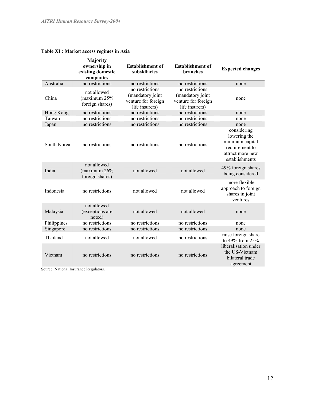|             | Majority                                          |                                                                              |                                                                              |                                                                                                        |
|-------------|---------------------------------------------------|------------------------------------------------------------------------------|------------------------------------------------------------------------------|--------------------------------------------------------------------------------------------------------|
|             | ownership in<br>existing domestic<br>companies    | <b>Establishment of</b><br>subsidiaries                                      | <b>Establishment of</b><br><b>branches</b>                                   | <b>Expected changes</b>                                                                                |
| Australia   | no restrictions                                   | no restrictions                                                              | no restrictions                                                              | none                                                                                                   |
| China       | not allowed<br>(maximum 25%<br>foreign shares)    | no restrictions<br>(mandatory joint<br>venture for foreign<br>life insurers) | no restrictions<br>(mandatory joint<br>venture for foreign<br>life insurers) | none                                                                                                   |
| Hong Kong   | no restrictions                                   | no restrictions                                                              | no restrictions                                                              | none                                                                                                   |
| Taiwan      | no restrictions                                   | no restrictions                                                              | no restrictions                                                              | none                                                                                                   |
| Japan       | no restrictions                                   | no restrictions                                                              | no restrictions                                                              | none                                                                                                   |
| South Korea | no restrictions                                   | no restrictions                                                              | no restrictions                                                              | considering<br>lowering the<br>minimum capital<br>requirement to<br>attract more new<br>establishments |
| India       | not allowed<br>$($ maximum 26%<br>foreign shares) | not allowed                                                                  | not allowed                                                                  | 49% foreign shares<br>being considered                                                                 |
| Indonesia   | no restrictions                                   | not allowed                                                                  | not allowed                                                                  | more flexible<br>approach to foreign<br>shares in joint<br>ventures                                    |
| Malaysia    | not allowed<br>(exceptions are<br>noted)          | not allowed                                                                  | not allowed                                                                  | none                                                                                                   |
| Philippines | no restrictions                                   | no restrictions                                                              | no restrictions                                                              | none                                                                                                   |
| Singapore   | no restrictions                                   | no restrictions                                                              | no restrictions                                                              | none                                                                                                   |
| Thailand    | not allowed                                       | not allowed                                                                  | no restrictions                                                              | raise foreign share<br>to 49% from 25%                                                                 |
| Vietnam     | no restrictions                                   | no restrictions                                                              | no restrictions                                                              | liberalisation under<br>the US-Vietnam<br>bilateral trade<br>agreement                                 |

# Table XI : Market access regimes in Asia

Source: National Insurance Regulators.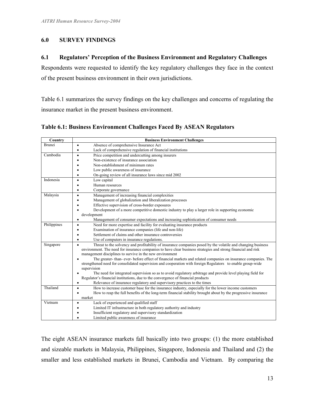# 6.0 SURVEY FINDINGS

# 6.1 Regulators' Perception of the Business Environment and Regulatory Challenges

Respondents were requested to identify the key regulatory challenges they face in the context of the present business environment in their own jurisdictions.

Table 6.1 summarizes the survey findings on the key challenges and concerns of regulating the insurance market in the present business environment.

| Country       | <b>Business Environment Challenges</b>                                                                                     |
|---------------|----------------------------------------------------------------------------------------------------------------------------|
| <b>Brunei</b> | Absence of comprehensive Insurance Act<br>$\bullet$                                                                        |
|               | Lack of comprehensive regulation of financial institutions<br>٠                                                            |
| Cambodia      | Price competition and undercutting among insurers<br>$\bullet$                                                             |
|               | Non-existence of insurance association                                                                                     |
|               | Non-establishment of minimum rates                                                                                         |
|               | Low public awareness of insurance                                                                                          |
|               | On-going review of all insurance laws since mid 2002                                                                       |
| Indonesia     | Low capital<br>٠                                                                                                           |
|               | Human resources                                                                                                            |
|               | Corporate governance<br>$\bullet$                                                                                          |
| Malaysia      | Management of increasing financial complexities<br>$\bullet$                                                               |
|               | Management of globalization and liberalization processes                                                                   |
|               | Effective supervision of cross-border exposures                                                                            |
|               | Development of a more competitive domestic industry to play a larger role in supporting economic                           |
|               | development                                                                                                                |
|               | Management of consumer expectations and increasing sophistication of consumer needs<br>٠                                   |
| Philippines   | Need for more expertise and facility for evaluating insurance products<br>$\bullet$                                        |
|               | Examination of insurance companies (life and non-life)                                                                     |
|               | Settlement of claims and other insurance controversies                                                                     |
|               | Use of computers in insurance regulations.<br>$\bullet$                                                                    |
| Singapore     | Threat to the solvency and profitability of insurance companies posed by the volatile and changing business                |
|               | environment. The need for insurance companies to have clear business strategies and strong financial and risk              |
|               | management disciplines to survive in the new environment                                                                   |
|               | The greater-than-ever-before effect of financial markets and related companies on insurance companies. The                 |
|               | strengthened need for consolidated supervision and cooperation with foreign Regulators to enable group-wide<br>supervision |
|               | The need for integrated supervision so as to avoid regulatory arbitrage and provide level playing field for                |
|               | Regulator's financial institutions, due to the convergence of financial products                                           |
|               | Relevance of insurance regulatory and supervisory practices to the times<br>$\bullet$                                      |
| Thailand      | How to increase customer base for the insurance industry, especially for the lower income customers<br>$\bullet$           |
|               | How to reap the full benefits of the long-term financial stability brought about by the progressive insurance              |
|               | market                                                                                                                     |
| Vietnam       | Lack of experienced and qualified staff<br>$\bullet$                                                                       |
|               | Limited IT infrastructure in both regulatory authority and industry                                                        |
|               | Insufficient regulatory and supervisory standardization                                                                    |
|               | Limited public awareness of insurance                                                                                      |

Table 6.1: Business Environment Challenges Faced By ASEAN Regulators

The eight ASEAN insurance markets fall basically into two groups: (1) the more established and sizeable markets in Malaysia, Philippines, Singapore, Indonesia and Thailand and (2) the smaller and less established markets in Brunei, Cambodia and Vietnam. By comparing the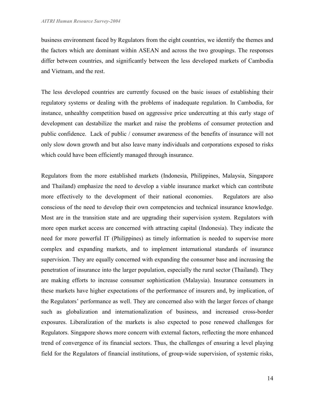business environment faced by Regulators from the eight countries, we identify the themes and the factors which are dominant within ASEAN and across the two groupings. The responses differ between countries, and significantly between the less developed markets of Cambodia and Vietnam, and the rest.

The less developed countries are currently focused on the basic issues of establishing their regulatory systems or dealing with the problems of inadequate regulation. In Cambodia, for instance, unhealthy competition based on aggressive price undercutting at this early stage of development can destabilize the market and raise the problems of consumer protection and public confidence. Lack of public / consumer awareness of the benefits of insurance will not only slow down growth and but also leave many individuals and corporations exposed to risks which could have been efficiently managed through insurance.

Regulators from the more established markets (Indonesia, Philippines, Malaysia, Singapore and Thailand) emphasize the need to develop a viable insurance market which can contribute more effectively to the development of their national economies. Regulators are also conscious of the need to develop their own competencies and technical insurance knowledge. Most are in the transition state and are upgrading their supervision system. Regulators with more open market access are concerned with attracting capital (Indonesia). They indicate the need for more powerful IT (Philippines) as timely information is needed to supervise more complex and expanding markets, and to implement international standards of insurance supervision. They are equally concerned with expanding the consumer base and increasing the penetration of insurance into the larger population, especially the rural sector (Thailand). They are making efforts to increase consumer sophistication (Malaysia). Insurance consumers in these markets have higher expectations of the performance of insurers and, by implication, of the Regulators' performance as well. They are concerned also with the larger forces of change such as globalization and internationalization of business, and increased cross-border exposures. Liberalization of the markets is also expected to pose renewed challenges for Regulators. Singapore shows more concern with external factors, reflecting the more enhanced trend of convergence of its financial sectors. Thus, the challenges of ensuring a level playing field for the Regulators of financial institutions, of group-wide supervision, of systemic risks,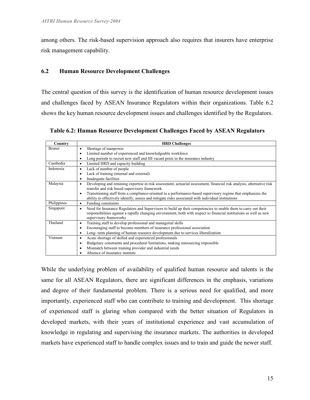among others. The risk-based supervision approach also requires that insurers have enterprise risk management capability.

# 6.2 Human Resource Development Challenges

The central question of this survey is the identification of human resource development issues and challenges faced by ASEAN Insurance Regulators within their organizations. Table 6.2 shows the key human resource development issues and challenges identified by the Regulators.

Table 6.2: Human Resource Development Challenges Faced by ASEAN Regulators

| Country       | <b>HRD</b> Challenges                                                                                                               |
|---------------|-------------------------------------------------------------------------------------------------------------------------------------|
| <b>Brunei</b> | Shortage of manpower<br>$\bullet$                                                                                                   |
|               | Limited number of experienced and knowledgeable workforce<br>$\bullet$                                                              |
|               | Long periods to recruit new staff and fill vacant posts in the insurance industry<br>$\bullet$                                      |
| Cambodia      | Limited HRD and capacity building<br>٠                                                                                              |
| Indonesia     | Lack of number of people<br>$\bullet$                                                                                               |
|               | Lack of training (internal and external)<br>$\bullet$                                                                               |
|               | Inadequate facilities<br>٠                                                                                                          |
| Malaysia      | Developing and retaining expertise in risk assessment, actuarial assessment, financial risk analysis, alternative risk<br>$\bullet$ |
|               | transfer and risk based supervisory framework                                                                                       |
|               | Transitioning staff from a compliance-oriented to a performance-based supervisory regime that emphasizes the<br>$\bullet$           |
|               | ability to effectively identify, assess and mitigate risks associated with individual institutions                                  |
| Philippines   | Funding constraints<br>$\bullet$                                                                                                    |
| Singapore     | Need for Insurance Regulators and Supervisors to build up their competencies to enable them to carry out their<br>$\bullet$         |
|               | responsibilities against a rapidly changing environment, both with respect to financial institutions as well as new                 |
|               | supervisory frameworks                                                                                                              |
| Thailand      | Training staff to develop professional and managerial skills<br>٠                                                                   |
|               | Encouraging staff to become members of insurance professional association<br>$\bullet$                                              |
|               | Long-term planning of human resource development due to services liberalization<br>$\bullet$                                        |
| Vietnam       | Acute shortage of skilled and experienced professionals<br>$\bullet$                                                                |
|               | Budgetary constraints and procedural limitations, making outsourcing impossible<br>$\bullet$                                        |
|               | Mismatch between training provider and industrial needs<br>$\bullet$                                                                |
|               | Absence of insurance institute                                                                                                      |

While the underlying problem of availability of qualified human resource and talents is the same for all ASEAN Regulators, there are significant differences in the emphasis, variations and degree of their fundamental problem. There is a serious need for qualified, and more importantly, experienced staff who can contribute to training and development. This shortage of experienced staff is glaring when compared with the better situation of Regulators in developed markets, with their years of institutional experience and vast accumulation of knowledge in regulating and supervising the insurance markets. The authorities in developed markets have experienced staff to handle complex issues and to train and guide the newer staff.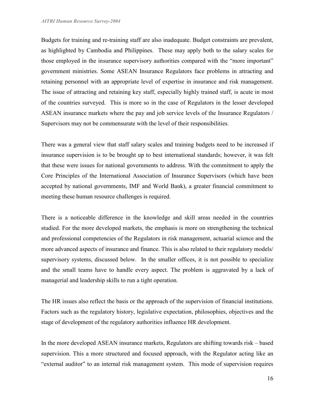Budgets for training and re-training staff are also inadequate. Budget constraints are prevalent, as highlighted by Cambodia and Philippines. These may apply both to the salary scales for those employed in the insurance supervisory authorities compared with the "more important" government ministries. Some ASEAN Insurance Regulators face problems in attracting and retaining personnel with an appropriate level of expertise in insurance and risk management. The issue of attracting and retaining key staff, especially highly trained staff, is acute in most of the countries surveyed. This is more so in the case of Regulators in the lesser developed ASEAN insurance markets where the pay and job service levels of the Insurance Regulators / Supervisors may not be commensurate with the level of their responsibilities.

There was a general view that staff salary scales and training budgets need to be increased if insurance supervision is to be brought up to best international standards; however, it was felt that these were issues for national governments to address. With the commitment to apply the Core Principles of the International Association of Insurance Supervisors (which have been accepted by national governments, IMF and World Bank), a greater financial commitment to meeting these human resource challenges is required.

There is a noticeable difference in the knowledge and skill areas needed in the countries studied. For the more developed markets, the emphasis is more on strengthening the technical and professional competencies of the Regulators in risk management, actuarial science and the more advanced aspects of insurance and finance. This is also related to their regulatory models/ supervisory systems, discussed below. In the smaller offices, it is not possible to specialize and the small teams have to handle every aspect. The problem is aggravated by a lack of managerial and leadership skills to run a tight operation.

The HR issues also reflect the basis or the approach of the supervision of financial institutions. Factors such as the regulatory history, legislative expectation, philosophies, objectives and the stage of development of the regulatory authorities influence HR development.

In the more developed ASEAN insurance markets, Regulators are shifting towards risk – based supervision. This a more structured and focused approach, with the Regulator acting like an "external auditor" to an internal risk management system. This mode of supervision requires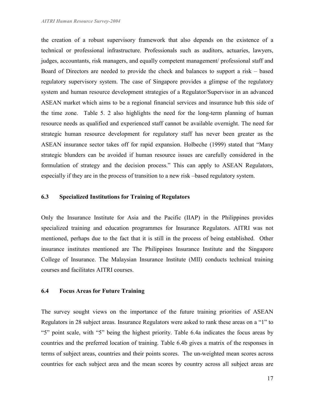the creation of a robust supervisory framework that also depends on the existence of a technical or professional infrastructure. Professionals such as auditors, actuaries, lawyers, judges, accountants, risk managers, and equally competent management/ professional staff and Board of Directors are needed to provide the check and balances to support a risk – based regulatory supervisory system. The case of Singapore provides a glimpse of the regulatory system and human resource development strategies of a Regulator/Supervisor in an advanced ASEAN market which aims to be a regional financial services and insurance hub this side of the time zone. Table 5. 2 also highlights the need for the long-term planning of human resource needs as qualified and experienced staff cannot be available overnight. The need for strategic human resource development for regulatory staff has never been greater as the ASEAN insurance sector takes off for rapid expansion. Holbeche (1999) stated that "Many strategic blunders can be avoided if human resource issues are carefully considered in the formulation of strategy and the decision process." This can apply to ASEAN Regulators, especially if they are in the process of transition to a new risk –based regulatory system.

#### 6.3 Specialized Institutions for Training of Regulators

Only the Insurance Institute for Asia and the Pacific (IIAP) in the Philippines provides specialized training and education programmes for Insurance Regulators. AITRI was not mentioned, perhaps due to the fact that it is still in the process of being established. Other insurance institutes mentioned are The Philippines Insurance Institute and the Singapore College of Insurance. The Malaysian Insurance Institute (MII) conducts technical training courses and facilitates AITRI courses.

#### 6.4 Focus Areas for Future Training

The survey sought views on the importance of the future training priorities of ASEAN Regulators in 28 subject areas. Insurance Regulators were asked to rank these areas on a "1" to "5" point scale, with "5" being the highest priority. Table 6.4a indicates the focus areas by countries and the preferred location of training. Table 6.4b gives a matrix of the responses in terms of subject areas, countries and their points scores. The un-weighted mean scores across countries for each subject area and the mean scores by country across all subject areas are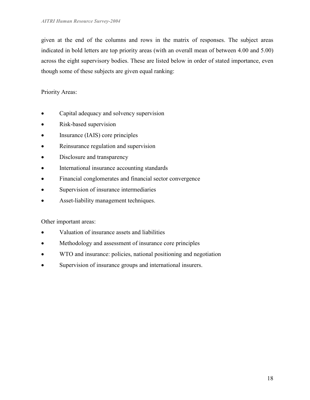given at the end of the columns and rows in the matrix of responses. The subject areas indicated in bold letters are top priority areas (with an overall mean of between 4.00 and 5.00) across the eight supervisory bodies. These are listed below in order of stated importance, even though some of these subjects are given equal ranking:

Priority Areas:

- Capital adequacy and solvency supervision
- Risk-based supervision
- Insurance (IAIS) core principles
- Reinsurance regulation and supervision
- Disclosure and transparency
- International insurance accounting standards
- Financial conglomerates and financial sector convergence
- Supervision of insurance intermediaries
- Asset-liability management techniques.

Other important areas:

- Valuation of insurance assets and liabilities
- Methodology and assessment of insurance core principles
- WTO and insurance: policies, national positioning and negotiation
- Supervision of insurance groups and international insurers.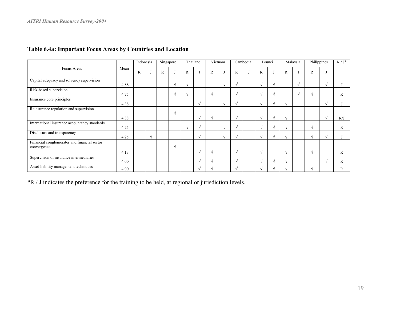|                                                             |      |              | Indonesia      | Singapore |            |              | Thailand   |              | Vietnam       |            | Cambodia |              | Brunei    |              | Malaysia   | Philippines  |          | $R/J^*$      |
|-------------------------------------------------------------|------|--------------|----------------|-----------|------------|--------------|------------|--------------|---------------|------------|----------|--------------|-----------|--------------|------------|--------------|----------|--------------|
| Focus Areas                                                 | Mean | $\mathbb{R}$ |                | R         |            | $\mathbb{R}$ |            | $\mathbb{R}$ |               | R          |          | $\mathbb{R}$ |           | $\mathbb{R}$ |            | $\mathbb{R}$ |          |              |
| Capital adequacy and solvency supervision                   | 4.88 |              |                |           | $\sqrt{ }$ | $\sqrt{ }$   |            |              | $\mathcal{L}$ | $\sim$     |          |              | $\Delta$  |              | N          |              | N        |              |
| Risk-based supervision                                      | 4.75 |              |                |           | $\sqrt{ }$ | $\sqrt{ }$   |            | $\Delta$     |               | $\sqrt{ }$ |          |              | $\Delta$  |              | $\sqrt{ }$ | $\sqrt{ }$   |          | R            |
| Insurance core principles                                   | 4.38 |              |                |           |            |              | N          |              | $\Delta$      | $\Delta$   |          | $\lambda$    | $\lambda$ | $\sqrt{ }$   |            |              | $\Delta$ |              |
| Reinsurance regulation and supervision                      |      |              |                |           | $\sqrt{ }$ |              |            |              |               |            |          |              |           |              |            |              |          |              |
|                                                             | 4.38 |              |                |           |            |              | N          | $\Delta$     |               | $\sqrt{ }$ |          |              | $\lambda$ | $\sqrt{ }$   |            |              |          | R/J          |
| International insurance accountancy standards               | 4.25 |              |                |           |            | V            | $\sim$     |              | $\sim$        | $\Delta$   |          |              | $\Delta$  | $\sqrt{ }$   |            | $\sqrt{ }$   |          | R            |
| Disclosure and transparency                                 | 4.25 |              | $\overline{ }$ |           |            |              | $\sqrt{ }$ |              | $\Delta$      |            |          |              |           |              |            | $\sqrt{ }$   |          |              |
| Financial conglomerates and financial sector<br>convergence |      |              |                |           | $\sqrt{ }$ |              |            |              |               |            |          |              |           |              |            |              |          |              |
|                                                             | 4.13 |              |                |           |            |              | N          |              |               | $\sqrt{ }$ |          | $\sqrt{ }$   |           | $\sqrt{ }$   |            | $\sqrt{ }$   |          | $\mathbb{R}$ |
| Supervision of insurance intermediaries                     | 4.00 |              |                |           |            |              | $\sqrt{ }$ |              |               | $\sqrt{ }$ |          | $\lambda$    |           | $\sqrt{ }$   |            |              | N        | R            |
| Asset-liability management techniques                       | 4.00 |              |                |           |            |              |            |              |               |            |          |              |           |              |            | $\sqrt{ }$   |          | R            |

# Table 6.4a: Important Focus Areas by Countries and Location

\*R / J indicates the preference for the training to be held, at regional or jurisdiction levels.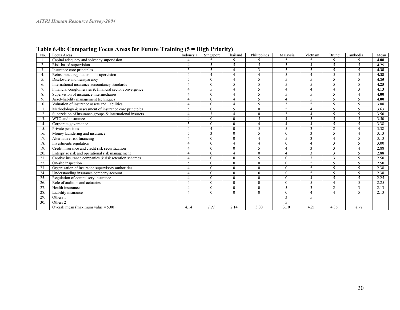| N <sub>o</sub> | Focus Areas                                                 | Indonesia                | Singapore                | Thailand                    | <b>Philippines</b>       | Malaysia                 | Vietnam        | Brunei                   | Cambodia                    | Mean |
|----------------|-------------------------------------------------------------|--------------------------|--------------------------|-----------------------------|--------------------------|--------------------------|----------------|--------------------------|-----------------------------|------|
|                | Capital adequacy and solvency supervision                   |                          | 5                        |                             |                          |                          |                |                          |                             | 4.88 |
| 2.             | Risk-based supervision                                      | $\overline{4}$           | $\overline{\phantom{0}}$ | $\overline{\phantom{0}}$    | 5                        | 5                        | $\overline{A}$ |                          | $\overline{\phantom{0}}$    | 4.75 |
| 3.             | Insurance core principles                                   | 3                        | $\overline{\phantom{0}}$ | $\boldsymbol{\Delta}$       | $\mathbf{3}$             |                          | 5              | 5                        | 5                           | 4.38 |
| 4.             | Reinsurance regulation and supervision                      | $\overline{4}$           | 4                        | $\Delta$                    |                          | 5                        | $\overline{4}$ | $\overline{\phantom{0}}$ | 5                           | 4.38 |
| 5.             | Disclosure and transparency                                 | 5                        | $\Omega$                 | $\overline{4}$              | $\overline{\phantom{0}}$ | $\overline{\phantom{0}}$ | 5              | 5                        | 5                           | 4.25 |
| 6.             | International insurance accountancy standards               | $\overline{4}$           | $\Omega$                 | 5                           | $\overline{\phantom{0}}$ | 5                        | 5              | 5                        | 5                           | 4.25 |
| 7.             | Financial conglomerates & financial sector convergence      | $\overline{4}$           | 5                        | 4                           | $\overline{\phantom{0}}$ | $\overline{4}$           | $\overline{4}$ | 4                        | 3                           | 4.13 |
| 8.             | Supervision of insurance intermediaries                     | $\overline{4}$           | $\Omega$                 | $\Delta$                    | $\varsigma$              | 5                        | 5              |                          | $\boldsymbol{\vartriangle}$ | 4.00 |
| 9.             | Asset-liability management techniques                       | $\overline{4}$           | $\Omega$                 | $\Delta$                    | $\overline{\phantom{0}}$ |                          | 5              | 5                        | 5                           | 4.00 |
| 10.            | Valuation of insurance assets and liabilities               | $\overline{4}$           | $\Omega$                 | $\overline{4}$              | $\overline{\phantom{0}}$ | $\mathcal{R}$            | 5              | $\overline{5}$           | 5                           | 3.88 |
| 11             | Methodology & assessment of insurance core principles       | $\overline{5}$           | $\Omega$                 | $\overline{\phantom{0}}$    | $\Omega$                 | $\varsigma$              | $\overline{4}$ | $\overline{5}$           | $\overline{5}$              | 3.63 |
| 12             | Supervision of insurance groups $\&$ international insurers | $\overline{4}$           | 3                        | $\Lambda$                   | $\Omega$                 | $\mathbf{3}$             | $\overline{A}$ |                          | $\overline{\phantom{0}}$    | 3.50 |
| 13.            | WTO and insurance                                           | $\overline{4}$           | $\theta$                 | $\theta$                    | $\overline{\phantom{0}}$ |                          | 5              | 5                        | 5                           | 3.50 |
| 14.            | Corporate governance                                        | $\overline{\phantom{0}}$ | $\Omega$                 | $\mathbf{0}$                |                          | $\Lambda$                | $\overline{4}$ | $\overline{5}$           | $\overline{5}$              | 3.38 |
| 15.            | Private pensions                                            | $\overline{4}$           |                          | $\theta$                    |                          | $\varsigma$              | $\overline{3}$ | $\mathcal{L}$            | $\overline{4}$              | 3.38 |
| 16.            | Money laundering and insurance                              | 5                        | 3                        | $\theta$                    | $\overline{\phantom{0}}$ | $\mathbf{0}$             | 3              | 5                        | $\overline{4}$              | 3.13 |
| 17.            | Alternative risk financing                                  | $\overline{4}$           | $\Omega$                 | $\theta$                    |                          | $\overline{\phantom{0}}$ | 3              | Δ                        | $\overline{5}$              | 3.13 |
| 18.            | Investments regulation                                      | $\Delta$                 | $\Omega$                 | $\boldsymbol{\vartriangle}$ |                          | $\theta$                 | $\Delta$       | $\mathbf{3}$             | $\overline{5}$              | 3.00 |
| 19.            | Credit insurance and credit risk securitization             | $\overline{4}$           | $\theta$                 | $\theta$                    | $\varsigma$              | 4                        | 3              | $\mathcal{E}$            | $\overline{4}$              | 2.88 |
| 20.            | Enterprise risk and operational risk management             | $\overline{4}$           | $\theta$                 | $\overline{\mathcal{L}}$    | $\theta$                 | $\Delta$                 | 3              | $\mathcal{E}$            | 5                           | 2.88 |
| 21             | Captive insurance companies $\&$ risk retention schemes     | $\overline{4}$           | $\Omega$                 | $\Omega$                    | $\overline{\phantom{0}}$ | $\theta$                 | $\overline{3}$ | $\mathbf{3}$             | $\overline{\phantom{0}}$    | 2.50 |
| 22.            | On-site inspection                                          | $\overline{\phantom{0}}$ | $\Omega$                 | $\Omega$                    | $\Omega$                 | $\theta$                 | 5              | $\overline{\phantom{0}}$ | $\overline{5}$              | 2.50 |
| 23.            | Organization of insurance supervisory authorities           | $\overline{4}$           | $\Omega$                 | $\theta$                    | $\theta$                 | $\theta$                 | 5              | 5                        | 5                           | 2.38 |
| 24.            | Understanding insurance company account                     | $\overline{4}$           | $\Omega$                 | $\Omega$                    | $\Omega$                 | $\theta$                 | 5              | $\overline{\phantom{0}}$ | 5                           | 2.38 |
| 25.            | Regulation of compulsory insurance                          | $\overline{4}$           | $\theta$                 | $\theta$                    | $\theta$                 | $\theta$                 | $\overline{4}$ |                          | $\overline{5}$              | 2.25 |
| 26.            | Role of auditors and actuaries                              | $\overline{4}$           | $\Omega$                 | $\mathbf{0}$                | $\theta$                 | $\theta$                 | 5              | 4                        | 5                           | 2.25 |
| 27.            | Health insurance                                            | $\overline{4}$           | $\Omega$                 | $\theta$                    | $\theta$                 | 5                        | 3              | $\overline{2}$           | 3                           | 2.13 |
| 28.            | Liability insurance                                         | $\overline{4}$           | $\Omega$                 | $\Omega$                    | $\Omega$                 | $\Omega$                 | $\overline{4}$ | $\overline{\mathbf{A}}$  | $\overline{5}$              | 2.13 |
| 29.            | Others 1                                                    |                          |                          |                             |                          | $\mathbf{3}$             | 5              |                          |                             |      |
| 30.            | Others 2                                                    |                          |                          |                             |                          | $\varsigma$              |                |                          |                             |      |
|                | Overall mean (maximum value $= 5.00$ )                      | 4.14                     | 1.21                     | 2.14                        | 3.00                     | 3.10                     | 4.21           | 4.36                     | 4.71                        |      |

Table 6.4b: Comparing Focus Areas for Future Training (5 = High Priority)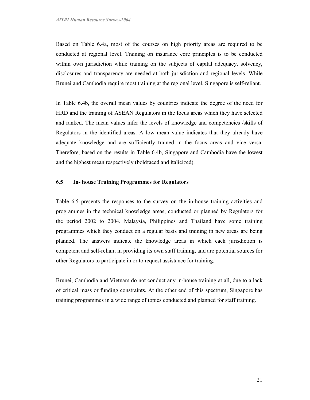Based on Table 6.4a, most of the courses on high priority areas are required to be conducted at regional level. Training on insurance core principles is to be conducted within own jurisdiction while training on the subjects of capital adequacy, solvency, disclosures and transparency are needed at both jurisdiction and regional levels. While Brunei and Cambodia require most training at the regional level, Singapore is self-reliant.

In Table 6.4b, the overall mean values by countries indicate the degree of the need for HRD and the training of ASEAN Regulators in the focus areas which they have selected and ranked. The mean values infer the levels of knowledge and competencies /skills of Regulators in the identified areas. A low mean value indicates that they already have adequate knowledge and are sufficiently trained in the focus areas and vice versa. Therefore, based on the results in Table 6.4b, Singapore and Cambodia have the lowest and the highest mean respectively (boldfaced and italicized).

#### 6.5 In- house Training Programmes for Regulators

Table 6.5 presents the responses to the survey on the in-house training activities and programmes in the technical knowledge areas, conducted or planned by Regulators for the period 2002 to 2004. Malaysia, Philippines and Thailand have some training programmes which they conduct on a regular basis and training in new areas are being planned. The answers indicate the knowledge areas in which each jurisdiction is competent and self-reliant in providing its own staff training, and are potential sources for other Regulators to participate in or to request assistance for training.

Brunei, Cambodia and Vietnam do not conduct any in-house training at all, due to a lack of critical mass or funding constraints. At the other end of this spectrum, Singapore has training programmes in a wide range of topics conducted and planned for staff training.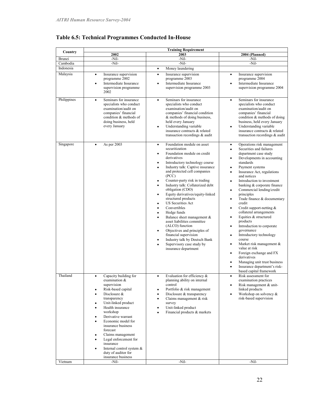| Country     | <b>Training Requirement</b>                                                                                                                                                                                                                                                                                                                                                                                                                                                                                     |                                                                                                                                                                                                                                                                                                                                                                                                                                                                                                                                                                                                                                                                                                                                                                                       |                                                                                                                                                                                                                                                                                                                                                                                                                                                                                                                                                                                                                                                                                                                                                                                                          |  |  |  |  |  |
|-------------|-----------------------------------------------------------------------------------------------------------------------------------------------------------------------------------------------------------------------------------------------------------------------------------------------------------------------------------------------------------------------------------------------------------------------------------------------------------------------------------------------------------------|---------------------------------------------------------------------------------------------------------------------------------------------------------------------------------------------------------------------------------------------------------------------------------------------------------------------------------------------------------------------------------------------------------------------------------------------------------------------------------------------------------------------------------------------------------------------------------------------------------------------------------------------------------------------------------------------------------------------------------------------------------------------------------------|----------------------------------------------------------------------------------------------------------------------------------------------------------------------------------------------------------------------------------------------------------------------------------------------------------------------------------------------------------------------------------------------------------------------------------------------------------------------------------------------------------------------------------------------------------------------------------------------------------------------------------------------------------------------------------------------------------------------------------------------------------------------------------------------------------|--|--|--|--|--|
|             | 2002                                                                                                                                                                                                                                                                                                                                                                                                                                                                                                            | 2003                                                                                                                                                                                                                                                                                                                                                                                                                                                                                                                                                                                                                                                                                                                                                                                  | 2004 (Planned)                                                                                                                                                                                                                                                                                                                                                                                                                                                                                                                                                                                                                                                                                                                                                                                           |  |  |  |  |  |
| Brunei      | -Nil-                                                                                                                                                                                                                                                                                                                                                                                                                                                                                                           | -Nil-                                                                                                                                                                                                                                                                                                                                                                                                                                                                                                                                                                                                                                                                                                                                                                                 | -Nil-                                                                                                                                                                                                                                                                                                                                                                                                                                                                                                                                                                                                                                                                                                                                                                                                    |  |  |  |  |  |
| Cambodia    | -Nil-                                                                                                                                                                                                                                                                                                                                                                                                                                                                                                           | -Nil-                                                                                                                                                                                                                                                                                                                                                                                                                                                                                                                                                                                                                                                                                                                                                                                 | -Nil-                                                                                                                                                                                                                                                                                                                                                                                                                                                                                                                                                                                                                                                                                                                                                                                                    |  |  |  |  |  |
| Indonesia   |                                                                                                                                                                                                                                                                                                                                                                                                                                                                                                                 | Money laundering<br>$\bullet$                                                                                                                                                                                                                                                                                                                                                                                                                                                                                                                                                                                                                                                                                                                                                         |                                                                                                                                                                                                                                                                                                                                                                                                                                                                                                                                                                                                                                                                                                                                                                                                          |  |  |  |  |  |
| Malaysia    | Insurance supervision<br>$\bullet$<br>programme 2002<br>Intermediate Insurance<br>$\bullet$<br>supervision programme<br>2002                                                                                                                                                                                                                                                                                                                                                                                    | Insurance supervision<br>$\bullet$<br>programme 2003<br>Intermediate Insurance<br>$\bullet$<br>supervision programme 2003                                                                                                                                                                                                                                                                                                                                                                                                                                                                                                                                                                                                                                                             | Insurance supervision<br>٠<br>programme 2004<br>Intermediate Insurance<br>$\bullet$<br>supervision programme 2004                                                                                                                                                                                                                                                                                                                                                                                                                                                                                                                                                                                                                                                                                        |  |  |  |  |  |
| Philippines | Seminars for insurance<br>$\bullet$<br>specialists who conduct<br>examination/audit on<br>companies' financial<br>condition & methods of<br>doing business, held<br>every January                                                                                                                                                                                                                                                                                                                               | Seminars for insurance<br>$\bullet$<br>specialists who conduct<br>examination/audit on<br>companies' financial condition<br>& methods of doing business,<br>held every January<br>Understanding variable<br>$\bullet$<br>insurance contracts & related<br>transaction recordings & audit                                                                                                                                                                                                                                                                                                                                                                                                                                                                                              | Seminars for insurance<br>$\bullet$<br>specialists who conduct<br>examination/audit on<br>companies' financial<br>condition $&$ methods of doing<br>business, held every January<br>Understanding variable<br>$\bullet$<br>insurance contracts & related<br>transaction recordings & audit                                                                                                                                                                                                                                                                                                                                                                                                                                                                                                               |  |  |  |  |  |
| Singapore   | As per 2003<br>$\bullet$                                                                                                                                                                                                                                                                                                                                                                                                                                                                                        | Foundation module on asset<br>$\bullet$<br>securitization<br>Foundation module on credit<br>٠<br>derivatives<br>Introductory technology course<br>٠<br>Industry talk: Captive insurance<br>$\bullet$<br>and protected cell companies<br>(PCC)<br>Counter-party risk in trading<br>٠<br>Industry talk: Collaterized debt<br>$\bullet$<br>obligation (CDO)<br>Equity derivatives/equity-linked<br>٠<br>structured products<br><b>US Securities Act</b><br>٠<br>Convertibles<br>$\bullet$<br>Hedge funds<br>$\bullet$<br>Balance sheet management &<br>$\bullet$<br>asset liabilities committee<br>(ALCO) function<br>Objectives and principles of<br>٠<br>financial supervision<br>Industry talk by Deutsch Bank<br>٠<br>Supervisory case study by<br>$\bullet$<br>insurance department | Operations risk management<br>٠<br>Securities and failures<br>$\bullet$<br>department case study<br>Developments in accounting<br>٠<br>standards<br>Payment systems<br>٠<br>Insurance Act, regulations<br>$\bullet$<br>and notices<br>Introduction to investment<br>٠<br>banking & corporate finance<br>Commercial lending/credit<br>٠<br>principles<br>Trade finance & documentary<br>٠<br>credit<br>Credit support-netting $&$<br>٠<br>collateral arrangements<br>Equities & structured<br>٠<br>products<br>Introduction to corporate<br>٠<br>governance<br>Introductory technology<br>٠<br>course<br>Market risk management &<br>٠<br>value at risk<br>Foreign exchange and FX<br>$\bullet$<br>derivatives<br>Managing unit trust business<br>Insurance department's risk-<br>based capital framework |  |  |  |  |  |
| Thailand    | Capacity building for<br>٠<br>examination &<br>supervision<br>Risk-based capital<br>$\bullet$<br>Disclosure &<br>$\bullet$<br>transparency<br>Unit-linked product<br>$\bullet$<br>Health insurance<br>$\bullet$<br>workshop<br>Derivative warrant<br>$\bullet$<br>Economic model for<br>$\bullet$<br>insurance business<br>forecast<br>Claims management<br>$\bullet$<br>Legal enforcement for<br>$\bullet$<br>insurance<br>Internal control system &<br>$\bullet$<br>duty of auditor for<br>insurance business | Evaluation for efficiency $\&$<br>٠<br>planning ability on internal<br>control<br>Portfolio & risk management<br>$\bullet$<br>Disclosure & transparency<br>٠<br>Claims management & risk<br>$\bullet$<br>survey<br>Unit-linked product<br>٠<br>Financial products & markets<br>$\bullet$                                                                                                                                                                                                                                                                                                                                                                                                                                                                                              | Risk assessment for<br>examination practices<br>Risk management & unit-<br>linked products<br>Workshop on solvency &<br>$\bullet$<br>risk-based supervision                                                                                                                                                                                                                                                                                                                                                                                                                                                                                                                                                                                                                                              |  |  |  |  |  |
| Vietnam     | -Nil-                                                                                                                                                                                                                                                                                                                                                                                                                                                                                                           | -Nil-                                                                                                                                                                                                                                                                                                                                                                                                                                                                                                                                                                                                                                                                                                                                                                                 | -Nil-                                                                                                                                                                                                                                                                                                                                                                                                                                                                                                                                                                                                                                                                                                                                                                                                    |  |  |  |  |  |

# Table 6.5: Technical Programmes Conducted In-House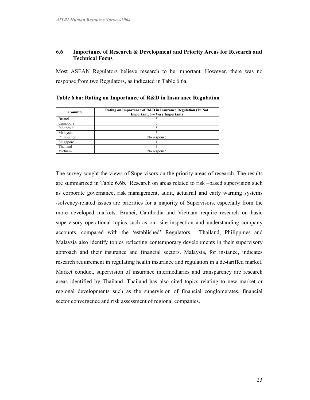#### 6.6 Importance of Research & Development and Priority Areas for Research and Technical Focus

Most ASEAN Regulators believe research to be important. However, there was no response from two Regulators, as indicated in Table 6.6a.

| Country       | Rating on Importance of R&D in Insurance Regulation (1= Not<br><b>Important, <math>5 = \text{Very Important}</math></b> |
|---------------|-------------------------------------------------------------------------------------------------------------------------|
| <b>Brunei</b> |                                                                                                                         |
| Cambodia      |                                                                                                                         |
| Indonesia     |                                                                                                                         |
| Malaysia      |                                                                                                                         |
| Philippines   | No response                                                                                                             |
| Singapore     |                                                                                                                         |
| Thailand      |                                                                                                                         |
| Vietnam       | No response                                                                                                             |

Table 6.6a: Rating on Importance of R&D in Insurance Regulation

The survey sought the views of Supervisors on the priority areas of research. The results are summarized in Table 6.6b. Research on areas related to risk –based supervision such as corporate governance, risk management, audit, actuarial and early warning systems /solvency-related issues are priorities for a majority of Supervisors, especially from the more developed markets. Brunei, Cambodia and Vietnam require research on basic supervisory operational topics such as on- site inspection and understanding company accounts, compared with the 'established' Regulators. Thailand, Philippines and Malaysia also identify topics reflecting contemporary developments in their supervisory approach and their insurance and financial sectors. Malaysia, for instance, indicates research requirement in regulating health insurance and regulation in a de-tariffed market. Market conduct, supervision of insurance intermediaries and transparency are research areas identified by Thailand. Thailand has also cited topics relating to new market or regional developments such as the supervision of financial conglomerates, financial sector convergence and risk assessment of regional companies.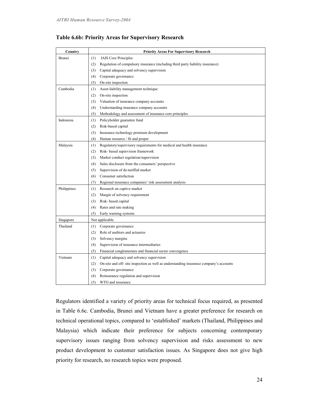| Country     | <b>Priority Areas For Supervisory Research</b>                                                |
|-------------|-----------------------------------------------------------------------------------------------|
| Brunei      | <b>IAIS</b> Core Principles<br>(1)                                                            |
|             | (2)<br>Regulation of compulsory insurance (including third party liability insurance)         |
|             | Capital adequacy and solvency supervision<br>(3)                                              |
|             | Corporate governance<br>(4)                                                                   |
|             | (5)<br>On-site inspection                                                                     |
| Cambodia    | Asset-liability management technique<br>(1)                                                   |
|             | On-site inspection<br>(2)                                                                     |
|             | Valuation of insurance company accounts<br>(3)                                                |
|             | Understanding insurance company accounts<br>(4)                                               |
|             | Methodology and assessment of insurance core principles<br>(5)                                |
| Indonesia   | Policyholder guarantee fund<br>(1)                                                            |
|             | Risk-based capital<br>(2)                                                                     |
|             | Insurance technology premium development<br>(3)                                               |
|             | (4)<br>Human resource / fit and proper                                                        |
| Malaysia    | Regulatory/supervisory requirements for medical and health insurance<br>(1)                   |
|             | Risk- based supervision framework<br>(2)                                                      |
|             | Market conduct regulation/supervision<br>(3)                                                  |
|             | Sales disclosure from the consumers' perspective<br>(4)                                       |
|             | Supervision of de-tariffed market<br>(5)                                                      |
|             | Consumer satisfaction<br>(6)                                                                  |
|             | Regional insurance companies' risk assessment analysis<br>(7)                                 |
| Philippines | Research on captive market<br>(1)                                                             |
|             | Margin of solvency requirement<br>(2)                                                         |
|             | Risk-based capital<br>(3)                                                                     |
|             | Rates and rate making<br>(4)                                                                  |
|             | Early warning systems<br>(5)                                                                  |
| Singapore   | Not applicable                                                                                |
| Thailand    | Corporate governance<br>(1)                                                                   |
|             | Role of auditors and actuaries<br>(2)                                                         |
|             | Solvency margins<br>(3)                                                                       |
|             | Supervision of insurance intermediaries<br>(4)                                                |
|             | Financial conglomerates and financial sector convergence<br>(5)                               |
| Vietnam     | Capital adequacy and solvency supervision<br>(1)                                              |
|             | On-site and off- site inspection as well as understanding insurance company's accounts<br>(2) |
|             | (3)<br>Corporate governance                                                                   |
|             | Reinsurance regulation and supervision<br>(4)                                                 |
|             | (5)<br>WTO and insurance                                                                      |

### Table 6.6b: Priority Areas for Supervisory Research

Regulators identified a variety of priority areas for technical focus required, as presented in Table 6.6c. Cambodia, Brunei and Vietnam have a greater preference for research on technical operational topics, compared to 'established' markets (Thailand, Philippines and Malaysia) which indicate their preference for subjects concerning contemporary supervisory issues ranging from solvency supervision and risks assessment to new product development to customer satisfaction issues. As Singapore does not give high priority for research, no research topics were proposed.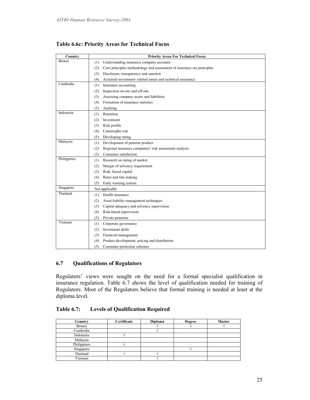| Country       | <b>Priority Areas For Technical Focus</b>                                     |
|---------------|-------------------------------------------------------------------------------|
| <b>Brunei</b> | Understanding insurance company accounts<br>(1)                               |
|               | Core principles methodology and assessment of insurance ore principles<br>(2) |
|               | Disclosure, transparency and sanction<br>(3)                                  |
|               | Actuarial investment-related issues and technical assistance<br>(4)           |
| Cambodia      | (1)<br>Insurance accounting                                                   |
|               | Inspection on-site and off-site<br>(2)                                        |
|               | Assessing company assets and liabilities<br>(3)                               |
|               | Formation of insurance statistics<br>(4)                                      |
|               | Auditing<br>(5)                                                               |
| Indonesia     | Retention<br>(1)                                                              |
|               | Investment<br>(2)                                                             |
|               | Risk profile<br>(3)                                                           |
|               | Catastrophe risk<br>(4)                                                       |
|               | Developing rating<br>(5)                                                      |
| Malaysia      | Development of pension product<br>(1)                                         |
|               | Regional insurance companies' risk assessment analysis<br>(2)                 |
|               | Consumer satisfaction<br>(3)                                                  |
| Philippines   | Research on rating of market<br>(1)                                           |
|               | Margin of solvency requirement<br>(2)                                         |
|               | Risk-based capital<br>(3)                                                     |
|               | Rates and rate making<br>(4)                                                  |
|               | Early warning system.<br>(5)                                                  |
| Singapore     | Not applicable                                                                |
| Thailand      | Health insurance<br>(1)                                                       |
|               | Asset-liability management techniques<br>(2)                                  |
|               | Capital adequacy and solvency supervision<br>(3)                              |
|               | Risk-based supervision<br>(4)                                                 |
|               | Private pensions<br>(5)                                                       |
| Vietnam       | Corporate governance<br>(1)                                                   |
|               | Investment skills<br>(2)                                                      |
|               | Financial management<br>(3)                                                   |
|               | Product development, pricing and distribution<br>(4)                          |
|               | (5)<br>Consumer protection schemes                                            |

## Table 6.6c: Priority Areas for Technical Focus

#### 6.7 Qualifications of Regulators

Regulators' views were sought on the need for a formal specialist qualification in insurance regulation. Table 6.7 shows the level of qualification needed for training of Regulators. Most of the Regulators believe that formal training is needed at least at the diploma level.

# Table 6.7: Levels of Qualification Required

| Country     | Certificate | Diploma | <b>Degree</b> | <b>Master</b> |
|-------------|-------------|---------|---------------|---------------|
| Brunei      |             |         |               |               |
| Cambodia    |             |         |               |               |
| Indonesia   |             |         |               |               |
| Malaysia    |             |         |               |               |
| Philippines |             |         |               |               |
| Singapore   |             |         |               |               |
| Thailand    |             |         |               |               |
| Vietnam     |             |         |               |               |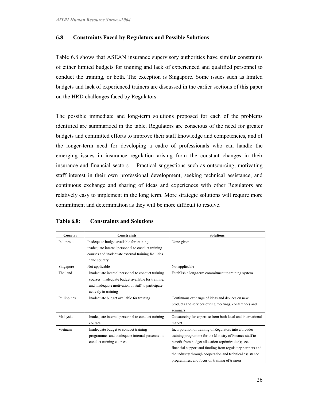#### 6.8 Constraints Faced by Regulators and Possible Solutions

Table 6.8 shows that ASEAN insurance supervisory authorities have similar constraints of either limited budgets for training and lack of experienced and qualified personnel to conduct the training, or both. The exception is Singapore. Some issues such as limited budgets and lack of experienced trainers are discussed in the earlier sections of this paper on the HRD challenges faced by Regulators.

The possible immediate and long-term solutions proposed for each of the problems identified are summarized in the table. Regulators are conscious of the need for greater budgets and committed efforts to improve their staff knowledge and competencies, and of the longer-term need for developing a cadre of professionals who can handle the emerging issues in insurance regulation arising from the constant changes in their insurance and financial sectors. Practical suggestions such as outsourcing, motivating staff interest in their own professional development, seeking technical assistance, and continuous exchange and sharing of ideas and experiences with other Regulators are relatively easy to implement in the long term. More strategic solutions will require more commitment and determination as they will be more difficult to resolve.

| Country     | <b>Constraints</b>                                  | <b>Solutions</b>                                                   |
|-------------|-----------------------------------------------------|--------------------------------------------------------------------|
| Indonesia   | Inadequate budget available for training,           | None given                                                         |
|             | inadequate internal personnel to conduct training   |                                                                    |
|             | courses and inadequate external training facilities |                                                                    |
|             | in the country                                      |                                                                    |
| Singapore   | Not applicable                                      | Not applicable                                                     |
| Thailand    | Inadequate internal personnel to conduct training   | Establish a long-term commitment to training system                |
|             | courses, inadequate budget available for training,  |                                                                    |
|             | and inadequate motivation of staff to participate   |                                                                    |
|             | actively in training                                |                                                                    |
| Philippines | Inadequate budget available for training            | Continuous exchange of ideas and devices on new                    |
|             |                                                     | products and services during meetings, conferences and<br>seminars |
|             |                                                     |                                                                    |
| Malaysia    | Inadequate internal personnel to conduct training   | Outsourcing for expertise from both local and international        |
|             | courses                                             | market                                                             |
| Vietnam     | Inadequate budget to conduct training               | Incorporation of training of Regulators into a broader             |
|             | programmes and inadequate internal personnel to     | training programme for the Ministry of Finance staff to            |
|             | conduct training courses                            | benefit from budget allocation (optimization); seek                |
|             |                                                     | financial support and funding from regulatory partners and         |
|             |                                                     | the industry through cooperation and technical assistance          |
|             |                                                     | programmes; and focus on training of trainers                      |

#### Table 6.8: Constraints and Solutions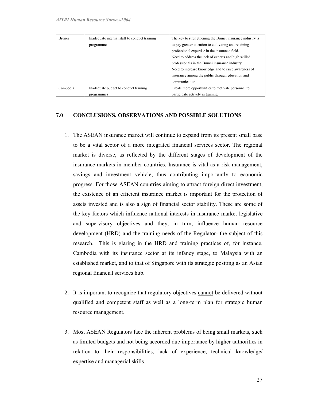| Brunei   | Inadequate internal staff to conduct training | The key to strengthening the Brunei insurance industry is |
|----------|-----------------------------------------------|-----------------------------------------------------------|
|          | programmes                                    | to pay greater attention to cultivating and retaining     |
|          |                                               | professional expertise in the insurance field.            |
|          |                                               | Need to address the lack of experts and high skilled      |
|          |                                               | professionals in the Brunei insurance industry.           |
|          |                                               | Need to increase knowledge and to raise awareness of      |
|          |                                               | insurance among the public through education and          |
|          |                                               | communication                                             |
| Cambodia | Inadequate budget to conduct training         | Create more opportunities to motivate personnel to        |
|          | programmes                                    | participate actively in training                          |

#### 7.0 CONCLUSIONS, OBSERVATIONS AND POSSIBLE SOLUTIONS

- 1. The ASEAN insurance market will continue to expand from its present small base to be a vital sector of a more integrated financial services sector. The regional market is diverse, as reflected by the different stages of development of the insurance markets in member countries. Insurance is vital as a risk management, savings and investment vehicle, thus contributing importantly to economic progress. For those ASEAN countries aiming to attract foreign direct investment, the existence of an efficient insurance market is important for the protection of assets invested and is also a sign of financial sector stability. These are some of the key factors which influence national interests in insurance market legislative and supervisory objectives and they, in turn, influence human resource development (HRD) and the training needs of the Regulator- the subject of this research. This is glaring in the HRD and training practices of, for instance, Cambodia with its insurance sector at its infancy stage, to Malaysia with an established market, and to that of Singapore with its strategic positing as an Asian regional financial services hub.
- 2. It is important to recognize that regulatory objectives cannot be delivered without qualified and competent staff as well as a long-term plan for strategic human resource management.
- 3. Most ASEAN Regulators face the inherent problems of being small markets, such as limited budgets and not being accorded due importance by higher authorities in relation to their responsibilities, lack of experience, technical knowledge/ expertise and managerial skills.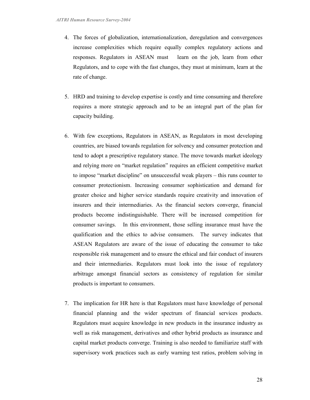- 4. The forces of globalization, internationalization, deregulation and convergences increase complexities which require equally complex regulatory actions and responses. Regulators in ASEAN must learn on the job, learn from other Regulators, and to cope with the fast changes, they must at minimum, learn at the rate of change.
- 5. HRD and training to develop expertise is costly and time consuming and therefore requires a more strategic approach and to be an integral part of the plan for capacity building.
- 6. With few exceptions, Regulators in ASEAN, as Regulators in most developing countries, are biased towards regulation for solvency and consumer protection and tend to adopt a prescriptive regulatory stance. The move towards market ideology and relying more on "market regulation" requires an efficient competitive market to impose "market discipline" on unsuccessful weak players – this runs counter to consumer protectionism. Increasing consumer sophistication and demand for greater choice and higher service standards require creativity and innovation of insurers and their intermediaries. As the financial sectors converge, financial products become indistinguishable. There will be increased competition for consumer savings. In this environment, those selling insurance must have the qualification and the ethics to advise consumers. The survey indicates that ASEAN Regulators are aware of the issue of educating the consumer to take responsible risk management and to ensure the ethical and fair conduct of insurers and their intermediaries. Regulators must look into the issue of regulatory arbitrage amongst financial sectors as consistency of regulation for similar products is important to consumers.
- 7. The implication for HR here is that Regulators must have knowledge of personal financial planning and the wider spectrum of financial services products. Regulators must acquire knowledge in new products in the insurance industry as well as risk management, derivatives and other hybrid products as insurance and capital market products converge. Training is also needed to familiarize staff with supervisory work practices such as early warning test ratios, problem solving in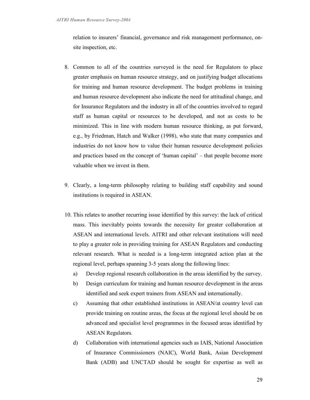relation to insurers' financial, governance and risk management performance, onsite inspection, etc.

- 8. Common to all of the countries surveyed is the need for Regulators to place greater emphasis on human resource strategy, and on justifying budget allocations for training and human resource development. The budget problems in training and human resource development also indicate the need for attitudinal change, and for Insurance Regulators and the industry in all of the countries involved to regard staff as human capital or resources to be developed, and not as costs to be minimized. This in line with modern human resource thinking, as put forward, e.g., by Friedman, Hatch and Walker (1998), who state that many companies and industries do not know how to value their human resource development policies and practices based on the concept of 'human capital' – that people become more valuable when we invest in them.
- 9. Clearly, a long-term philosophy relating to building staff capability and sound institutions is required in ASEAN.
- 10. This relates to another recurring issue identified by this survey: the lack of critical mass. This inevitably points towards the necessity for greater collaboration at ASEAN and international levels. AITRI and other relevant institutions will need to play a greater role in providing training for ASEAN Regulators and conducting relevant research. What is needed is a long-term integrated action plan at the regional level, perhaps spanning 3-5 years along the following lines:
	- a) Develop regional research collaboration in the areas identified by the survey.
	- b) Design curriculum for training and human resource development in the areas identified and seek expert trainers from ASEAN and internationally.
	- c) Assuming that other established institutions in ASEAN/at country level can provide training on routine areas, the focus at the regional level should be on advanced and specialist level programmes in the focused areas identified by ASEAN Regulators.
	- d) Collaboration with international agencies such as IAIS, National Association of Insurance Commissioners (NAIC), World Bank, Asian Development Bank (ADB) and UNCTAD should be sought for expertise as well as